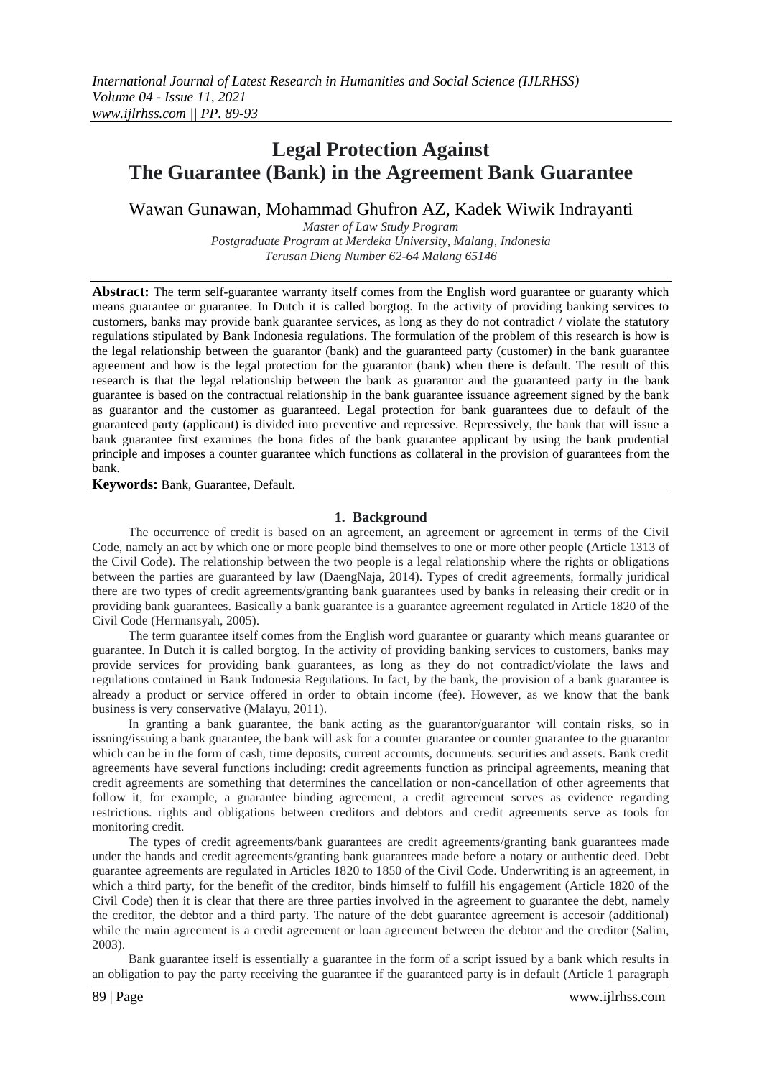# **Legal Protection Against The Guarantee (Bank) in the Agreement Bank Guarantee**

Wawan Gunawan, Mohammad Ghufron AZ, Kadek Wiwik Indrayanti

*Master of Law Study Program Postgraduate Program at Merdeka University, Malang, Indonesia Terusan Dieng Number 62-64 Malang 65146*

**Abstract:** The term self-guarantee warranty itself comes from the English word guarantee or guaranty which means guarantee or guarantee. In Dutch it is called borgtog. In the activity of providing banking services to customers, banks may provide bank guarantee services, as long as they do not contradict / violate the statutory regulations stipulated by Bank Indonesia regulations. The formulation of the problem of this research is how is the legal relationship between the guarantor (bank) and the guaranteed party (customer) in the bank guarantee agreement and how is the legal protection for the guarantor (bank) when there is default. The result of this research is that the legal relationship between the bank as guarantor and the guaranteed party in the bank guarantee is based on the contractual relationship in the bank guarantee issuance agreement signed by the bank as guarantor and the customer as guaranteed. Legal protection for bank guarantees due to default of the guaranteed party (applicant) is divided into preventive and repressive. Repressively, the bank that will issue a bank guarantee first examines the bona fides of the bank guarantee applicant by using the bank prudential principle and imposes a counter guarantee which functions as collateral in the provision of guarantees from the bank.

**Keywords:** Bank, Guarantee, Default.

#### **1. Background**

The occurrence of credit is based on an agreement, an agreement or agreement in terms of the Civil Code, namely an act by which one or more people bind themselves to one or more other people (Article 1313 of the Civil Code). The relationship between the two people is a legal relationship where the rights or obligations between the parties are guaranteed by law (DaengNaja, 2014). Types of credit agreements, formally juridical there are two types of credit agreements/granting bank guarantees used by banks in releasing their credit or in providing bank guarantees. Basically a bank guarantee is a guarantee agreement regulated in Article 1820 of the Civil Code (Hermansyah, 2005).

The term guarantee itself comes from the English word guarantee or guaranty which means guarantee or guarantee. In Dutch it is called borgtog. In the activity of providing banking services to customers, banks may provide services for providing bank guarantees, as long as they do not contradict/violate the laws and regulations contained in Bank Indonesia Regulations. In fact, by the bank, the provision of a bank guarantee is already a product or service offered in order to obtain income (fee). However, as we know that the bank business is very conservative (Malayu, 2011).

In granting a bank guarantee, the bank acting as the guarantor/guarantor will contain risks, so in issuing/issuing a bank guarantee, the bank will ask for a counter guarantee or counter guarantee to the guarantor which can be in the form of cash, time deposits, current accounts, documents. securities and assets. Bank credit agreements have several functions including: credit agreements function as principal agreements, meaning that credit agreements are something that determines the cancellation or non-cancellation of other agreements that follow it, for example, a guarantee binding agreement, a credit agreement serves as evidence regarding restrictions. rights and obligations between creditors and debtors and credit agreements serve as tools for monitoring credit.

The types of credit agreements/bank guarantees are credit agreements/granting bank guarantees made under the hands and credit agreements/granting bank guarantees made before a notary or authentic deed. Debt guarantee agreements are regulated in Articles 1820 to 1850 of the Civil Code. Underwriting is an agreement, in which a third party, for the benefit of the creditor, binds himself to fulfill his engagement (Article 1820 of the Civil Code) then it is clear that there are three parties involved in the agreement to guarantee the debt, namely the creditor, the debtor and a third party. The nature of the debt guarantee agreement is accesoir (additional) while the main agreement is a credit agreement or loan agreement between the debtor and the creditor (Salim, 2003).

Bank guarantee itself is essentially a guarantee in the form of a script issued by a bank which results in an obligation to pay the party receiving the guarantee if the guaranteed party is in default (Article 1 paragraph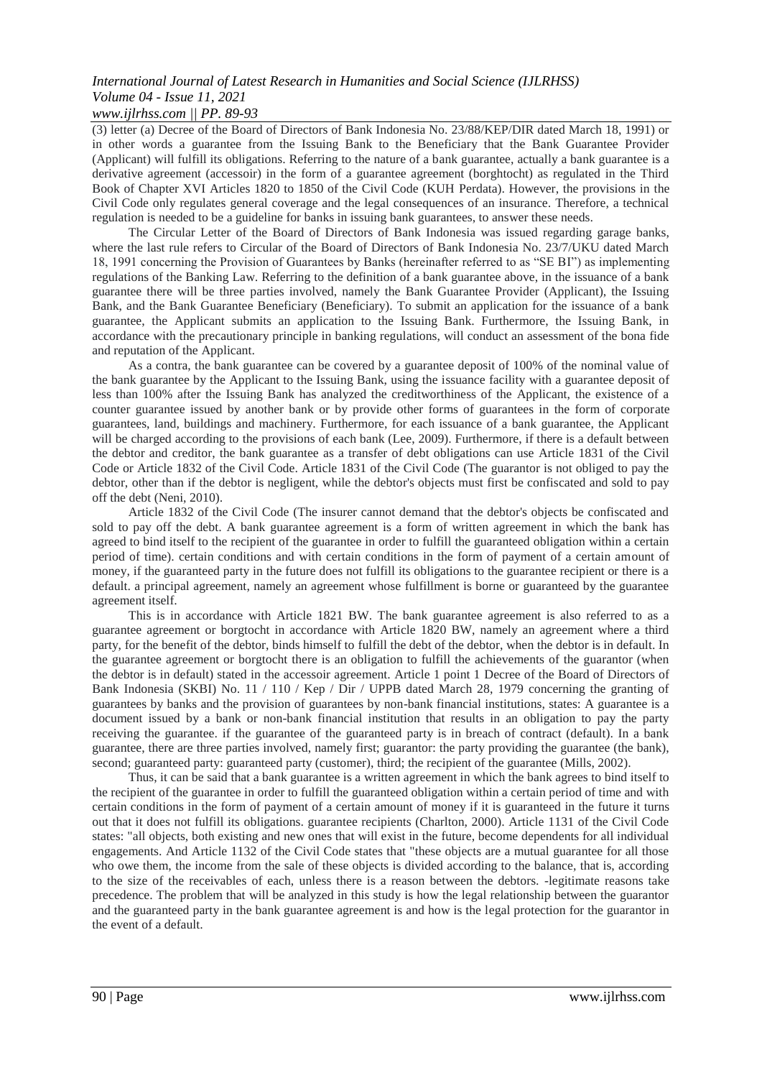# *International Journal of Latest Research in Humanities and Social Science (IJLRHSS) Volume 04 - Issue 11, 2021*

## *www.ijlrhss.com || PP. 89-93*

(3) letter (a) Decree of the Board of Directors of Bank Indonesia No. 23/88/KEP/DIR dated March 18, 1991) or in other words a guarantee from the Issuing Bank to the Beneficiary that the Bank Guarantee Provider (Applicant) will fulfill its obligations. Referring to the nature of a bank guarantee, actually a bank guarantee is a derivative agreement (accessoir) in the form of a guarantee agreement (borghtocht) as regulated in the Third Book of Chapter XVI Articles 1820 to 1850 of the Civil Code (KUH Perdata). However, the provisions in the Civil Code only regulates general coverage and the legal consequences of an insurance. Therefore, a technical regulation is needed to be a guideline for banks in issuing bank guarantees, to answer these needs.

The Circular Letter of the Board of Directors of Bank Indonesia was issued regarding garage banks, where the last rule refers to Circular of the Board of Directors of Bank Indonesia No. 23/7/UKU dated March 18, 1991 concerning the Provision of Guarantees by Banks (hereinafter referred to as "SE BI") as implementing regulations of the Banking Law. Referring to the definition of a bank guarantee above, in the issuance of a bank guarantee there will be three parties involved, namely the Bank Guarantee Provider (Applicant), the Issuing Bank, and the Bank Guarantee Beneficiary (Beneficiary). To submit an application for the issuance of a bank guarantee, the Applicant submits an application to the Issuing Bank. Furthermore, the Issuing Bank, in accordance with the precautionary principle in banking regulations, will conduct an assessment of the bona fide and reputation of the Applicant.

As a contra, the bank guarantee can be covered by a guarantee deposit of 100% of the nominal value of the bank guarantee by the Applicant to the Issuing Bank, using the issuance facility with a guarantee deposit of less than 100% after the Issuing Bank has analyzed the creditworthiness of the Applicant, the existence of a counter guarantee issued by another bank or by provide other forms of guarantees in the form of corporate guarantees, land, buildings and machinery. Furthermore, for each issuance of a bank guarantee, the Applicant will be charged according to the provisions of each bank (Lee, 2009). Furthermore, if there is a default between the debtor and creditor, the bank guarantee as a transfer of debt obligations can use Article 1831 of the Civil Code or Article 1832 of the Civil Code. Article 1831 of the Civil Code (The guarantor is not obliged to pay the debtor, other than if the debtor is negligent, while the debtor's objects must first be confiscated and sold to pay off the debt (Neni, 2010).

Article 1832 of the Civil Code (The insurer cannot demand that the debtor's objects be confiscated and sold to pay off the debt. A bank guarantee agreement is a form of written agreement in which the bank has agreed to bind itself to the recipient of the guarantee in order to fulfill the guaranteed obligation within a certain period of time). certain conditions and with certain conditions in the form of payment of a certain amount of money, if the guaranteed party in the future does not fulfill its obligations to the guarantee recipient or there is a default. a principal agreement, namely an agreement whose fulfillment is borne or guaranteed by the guarantee agreement itself.

This is in accordance with Article 1821 BW. The bank guarantee agreement is also referred to as a guarantee agreement or borgtocht in accordance with Article 1820 BW, namely an agreement where a third party, for the benefit of the debtor, binds himself to fulfill the debt of the debtor, when the debtor is in default. In the guarantee agreement or borgtocht there is an obligation to fulfill the achievements of the guarantor (when the debtor is in default) stated in the accessoir agreement. Article 1 point 1 Decree of the Board of Directors of Bank Indonesia (SKBI) No. 11 / 110 / Kep / Dir / UPPB dated March 28, 1979 concerning the granting of guarantees by banks and the provision of guarantees by non-bank financial institutions, states: A guarantee is a document issued by a bank or non-bank financial institution that results in an obligation to pay the party receiving the guarantee. if the guarantee of the guaranteed party is in breach of contract (default). In a bank guarantee, there are three parties involved, namely first; guarantor: the party providing the guarantee (the bank), second; guaranteed party: guaranteed party (customer), third; the recipient of the guarantee (Mills, 2002).

Thus, it can be said that a bank guarantee is a written agreement in which the bank agrees to bind itself to the recipient of the guarantee in order to fulfill the guaranteed obligation within a certain period of time and with certain conditions in the form of payment of a certain amount of money if it is guaranteed in the future it turns out that it does not fulfill its obligations. guarantee recipients (Charlton, 2000). Article 1131 of the Civil Code states: "all objects, both existing and new ones that will exist in the future, become dependents for all individual engagements. And Article 1132 of the Civil Code states that "these objects are a mutual guarantee for all those who owe them, the income from the sale of these objects is divided according to the balance, that is, according to the size of the receivables of each, unless there is a reason between the debtors. -legitimate reasons take precedence. The problem that will be analyzed in this study is how the legal relationship between the guarantor and the guaranteed party in the bank guarantee agreement is and how is the legal protection for the guarantor in the event of a default.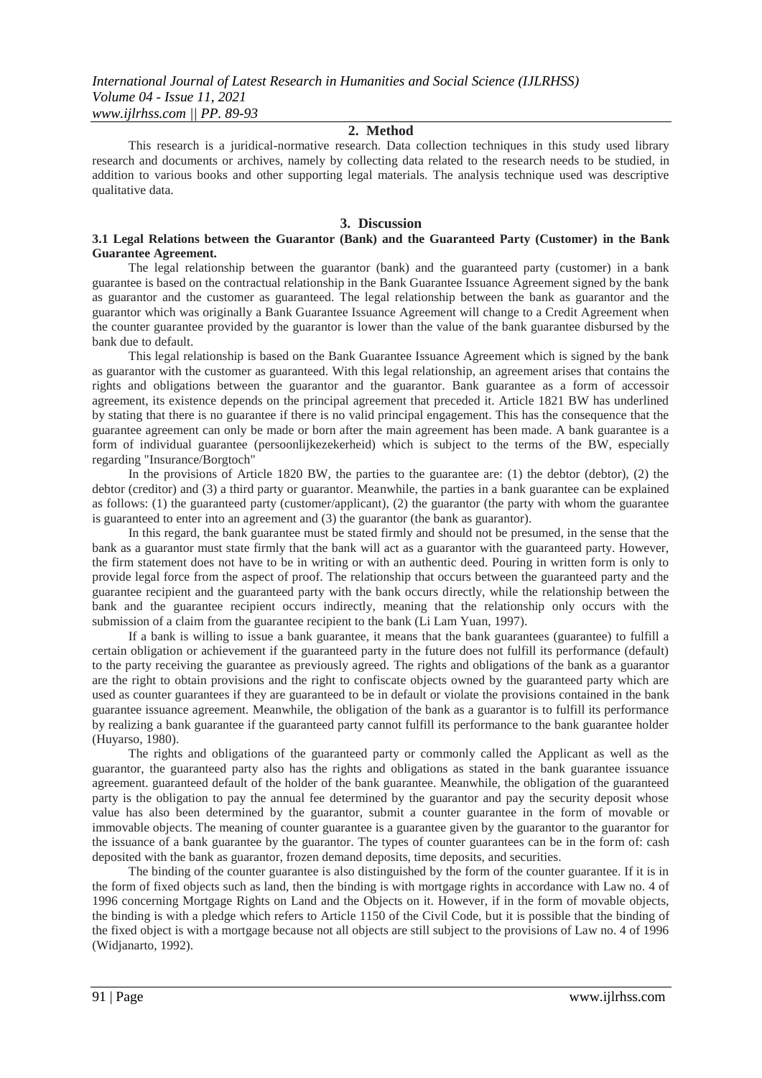#### **2. Method**

This research is a juridical-normative research. Data collection techniques in this study used library research and documents or archives, namely by collecting data related to the research needs to be studied, in addition to various books and other supporting legal materials. The analysis technique used was descriptive qualitative data.

#### **3. Discussion**

#### **3.1 Legal Relations between the Guarantor (Bank) and the Guaranteed Party (Customer) in the Bank Guarantee Agreement.**

The legal relationship between the guarantor (bank) and the guaranteed party (customer) in a bank guarantee is based on the contractual relationship in the Bank Guarantee Issuance Agreement signed by the bank as guarantor and the customer as guaranteed. The legal relationship between the bank as guarantor and the guarantor which was originally a Bank Guarantee Issuance Agreement will change to a Credit Agreement when the counter guarantee provided by the guarantor is lower than the value of the bank guarantee disbursed by the bank due to default.

This legal relationship is based on the Bank Guarantee Issuance Agreement which is signed by the bank as guarantor with the customer as guaranteed. With this legal relationship, an agreement arises that contains the rights and obligations between the guarantor and the guarantor. Bank guarantee as a form of accessoir agreement, its existence depends on the principal agreement that preceded it. Article 1821 BW has underlined by stating that there is no guarantee if there is no valid principal engagement. This has the consequence that the guarantee agreement can only be made or born after the main agreement has been made. A bank guarantee is a form of individual guarantee (persoonlijkezekerheid) which is subject to the terms of the BW, especially regarding "Insurance/Borgtoch"

In the provisions of Article 1820 BW, the parties to the guarantee are: (1) the debtor (debtor), (2) the debtor (creditor) and (3) a third party or guarantor. Meanwhile, the parties in a bank guarantee can be explained as follows: (1) the guaranteed party (customer/applicant), (2) the guarantor (the party with whom the guarantee is guaranteed to enter into an agreement and (3) the guarantor (the bank as guarantor).

In this regard, the bank guarantee must be stated firmly and should not be presumed, in the sense that the bank as a guarantor must state firmly that the bank will act as a guarantor with the guaranteed party. However, the firm statement does not have to be in writing or with an authentic deed. Pouring in written form is only to provide legal force from the aspect of proof. The relationship that occurs between the guaranteed party and the guarantee recipient and the guaranteed party with the bank occurs directly, while the relationship between the bank and the guarantee recipient occurs indirectly, meaning that the relationship only occurs with the submission of a claim from the guarantee recipient to the bank (Li Lam Yuan, 1997).

If a bank is willing to issue a bank guarantee, it means that the bank guarantees (guarantee) to fulfill a certain obligation or achievement if the guaranteed party in the future does not fulfill its performance (default) to the party receiving the guarantee as previously agreed. The rights and obligations of the bank as a guarantor are the right to obtain provisions and the right to confiscate objects owned by the guaranteed party which are used as counter guarantees if they are guaranteed to be in default or violate the provisions contained in the bank guarantee issuance agreement. Meanwhile, the obligation of the bank as a guarantor is to fulfill its performance by realizing a bank guarantee if the guaranteed party cannot fulfill its performance to the bank guarantee holder (Huyarso, 1980).

The rights and obligations of the guaranteed party or commonly called the Applicant as well as the guarantor, the guaranteed party also has the rights and obligations as stated in the bank guarantee issuance agreement. guaranteed default of the holder of the bank guarantee. Meanwhile, the obligation of the guaranteed party is the obligation to pay the annual fee determined by the guarantor and pay the security deposit whose value has also been determined by the guarantor, submit a counter guarantee in the form of movable or immovable objects. The meaning of counter guarantee is a guarantee given by the guarantor to the guarantor for the issuance of a bank guarantee by the guarantor. The types of counter guarantees can be in the form of: cash deposited with the bank as guarantor, frozen demand deposits, time deposits, and securities.

The binding of the counter guarantee is also distinguished by the form of the counter guarantee. If it is in the form of fixed objects such as land, then the binding is with mortgage rights in accordance with Law no. 4 of 1996 concerning Mortgage Rights on Land and the Objects on it. However, if in the form of movable objects, the binding is with a pledge which refers to Article 1150 of the Civil Code, but it is possible that the binding of the fixed object is with a mortgage because not all objects are still subject to the provisions of Law no. 4 of 1996 (Widjanarto, 1992).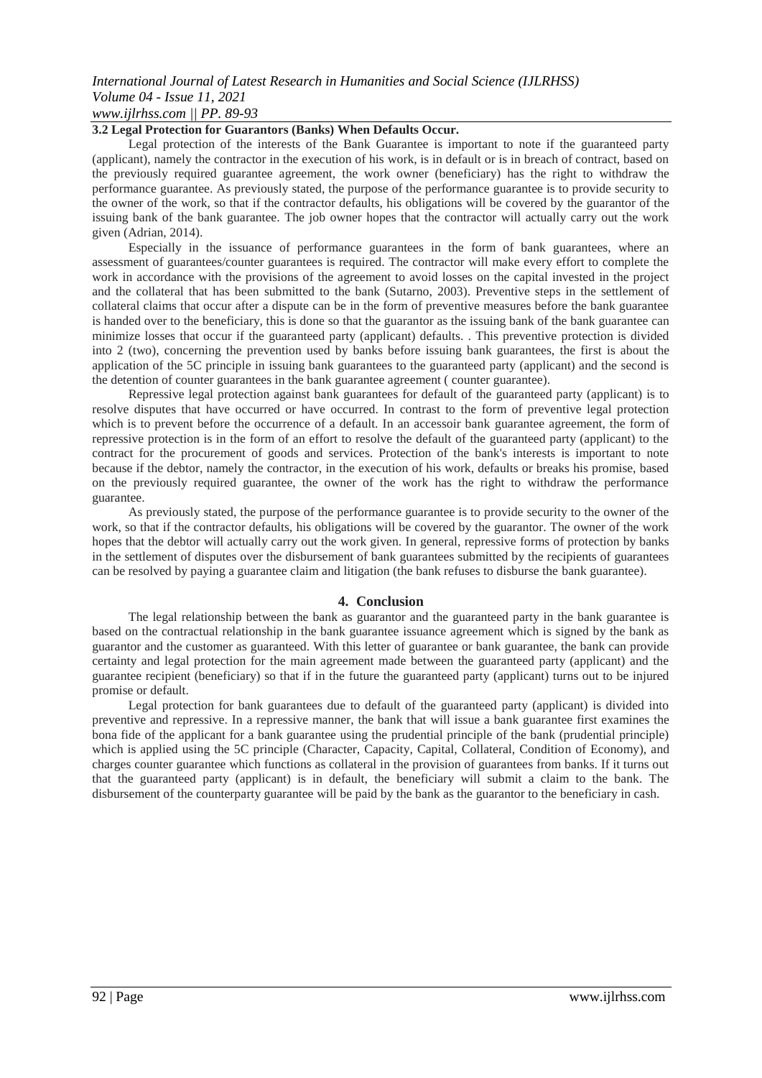### *International Journal of Latest Research in Humanities and Social Science (IJLRHSS) Volume 04 - Issue 11, 2021 www.ijlrhss.com || PP. 89-93*

#### **3.2 Legal Protection for Guarantors (Banks) When Defaults Occur.**

Legal protection of the interests of the Bank Guarantee is important to note if the guaranteed party (applicant), namely the contractor in the execution of his work, is in default or is in breach of contract, based on the previously required guarantee agreement, the work owner (beneficiary) has the right to withdraw the performance guarantee. As previously stated, the purpose of the performance guarantee is to provide security to the owner of the work, so that if the contractor defaults, his obligations will be covered by the guarantor of the issuing bank of the bank guarantee. The job owner hopes that the contractor will actually carry out the work given (Adrian, 2014).

Especially in the issuance of performance guarantees in the form of bank guarantees, where an assessment of guarantees/counter guarantees is required. The contractor will make every effort to complete the work in accordance with the provisions of the agreement to avoid losses on the capital invested in the project and the collateral that has been submitted to the bank (Sutarno, 2003). Preventive steps in the settlement of collateral claims that occur after a dispute can be in the form of preventive measures before the bank guarantee is handed over to the beneficiary, this is done so that the guarantor as the issuing bank of the bank guarantee can minimize losses that occur if the guaranteed party (applicant) defaults. . This preventive protection is divided into 2 (two), concerning the prevention used by banks before issuing bank guarantees, the first is about the application of the 5C principle in issuing bank guarantees to the guaranteed party (applicant) and the second is the detention of counter guarantees in the bank guarantee agreement ( counter guarantee).

Repressive legal protection against bank guarantees for default of the guaranteed party (applicant) is to resolve disputes that have occurred or have occurred. In contrast to the form of preventive legal protection which is to prevent before the occurrence of a default. In an accessoir bank guarantee agreement, the form of repressive protection is in the form of an effort to resolve the default of the guaranteed party (applicant) to the contract for the procurement of goods and services. Protection of the bank's interests is important to note because if the debtor, namely the contractor, in the execution of his work, defaults or breaks his promise, based on the previously required guarantee, the owner of the work has the right to withdraw the performance guarantee.

As previously stated, the purpose of the performance guarantee is to provide security to the owner of the work, so that if the contractor defaults, his obligations will be covered by the guarantor. The owner of the work hopes that the debtor will actually carry out the work given. In general, repressive forms of protection by banks in the settlement of disputes over the disbursement of bank guarantees submitted by the recipients of guarantees can be resolved by paying a guarantee claim and litigation (the bank refuses to disburse the bank guarantee).

#### **4. Conclusion**

The legal relationship between the bank as guarantor and the guaranteed party in the bank guarantee is based on the contractual relationship in the bank guarantee issuance agreement which is signed by the bank as guarantor and the customer as guaranteed. With this letter of guarantee or bank guarantee, the bank can provide certainty and legal protection for the main agreement made between the guaranteed party (applicant) and the guarantee recipient (beneficiary) so that if in the future the guaranteed party (applicant) turns out to be injured promise or default.

Legal protection for bank guarantees due to default of the guaranteed party (applicant) is divided into preventive and repressive. In a repressive manner, the bank that will issue a bank guarantee first examines the bona fide of the applicant for a bank guarantee using the prudential principle of the bank (prudential principle) which is applied using the 5C principle (Character, Capacity, Capital, Collateral, Condition of Economy), and charges counter guarantee which functions as collateral in the provision of guarantees from banks. If it turns out that the guaranteed party (applicant) is in default, the beneficiary will submit a claim to the bank. The disbursement of the counterparty guarantee will be paid by the bank as the guarantor to the beneficiary in cash.